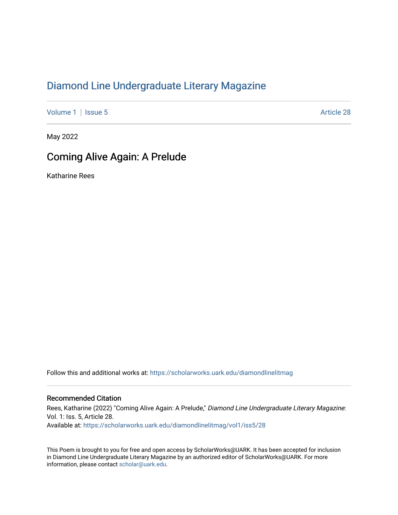## [Diamond Line Undergraduate Literary Magazine](https://scholarworks.uark.edu/diamondlinelitmag)

[Volume 1](https://scholarworks.uark.edu/diamondlinelitmag/vol1) | [Issue 5](https://scholarworks.uark.edu/diamondlinelitmag/vol1/iss5) Article 28

May 2022

## Coming Alive Again: A Prelude

Katharine Rees

Follow this and additional works at: [https://scholarworks.uark.edu/diamondlinelitmag](https://scholarworks.uark.edu/diamondlinelitmag?utm_source=scholarworks.uark.edu%2Fdiamondlinelitmag%2Fvol1%2Fiss5%2F28&utm_medium=PDF&utm_campaign=PDFCoverPages) 

## Recommended Citation

Rees, Katharine (2022) "Coming Alive Again: A Prelude," Diamond Line Undergraduate Literary Magazine: Vol. 1: Iss. 5, Article 28. Available at: [https://scholarworks.uark.edu/diamondlinelitmag/vol1/iss5/28](https://scholarworks.uark.edu/diamondlinelitmag/vol1/iss5/28?utm_source=scholarworks.uark.edu%2Fdiamondlinelitmag%2Fvol1%2Fiss5%2F28&utm_medium=PDF&utm_campaign=PDFCoverPages) 

This Poem is brought to you for free and open access by ScholarWorks@UARK. It has been accepted for inclusion in Diamond Line Undergraduate Literary Magazine by an authorized editor of ScholarWorks@UARK. For more information, please contact [scholar@uark.edu.](mailto:scholar@uark.edu)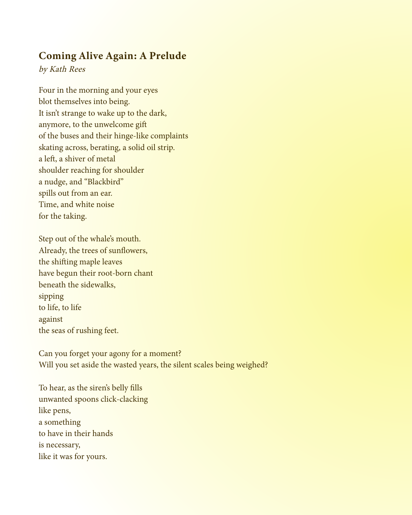## Coming Alive Again: A Prelude

by Kath Rees

Four in the morning and your eyes blot themselves into being. It isn't strange to wake up to the dark, anymore, to the unwelcome gift of the buses and their hinge-like complaints skating across, berating, a solid oil strip. a left, a shiver of metal shoulder reaching for shoulder a nudge, and "Blackbird" spills out from an ear. Time, and white noise for the taking.

Step out of the whale's mouth. Already, the trees of sunflowers, the shifting maple leaves have begun their root-born chant beneath the sidewalks, sipping to life, to life against the seas of rushing feet.

Can you forget your agony for a moment? Will you set aside the wasted years, the silent scales being weighed?

To hear, as the siren's belly fills unwanted spoons click-clacking like pens, a something to have in their hands is necessary, like it was for yours.